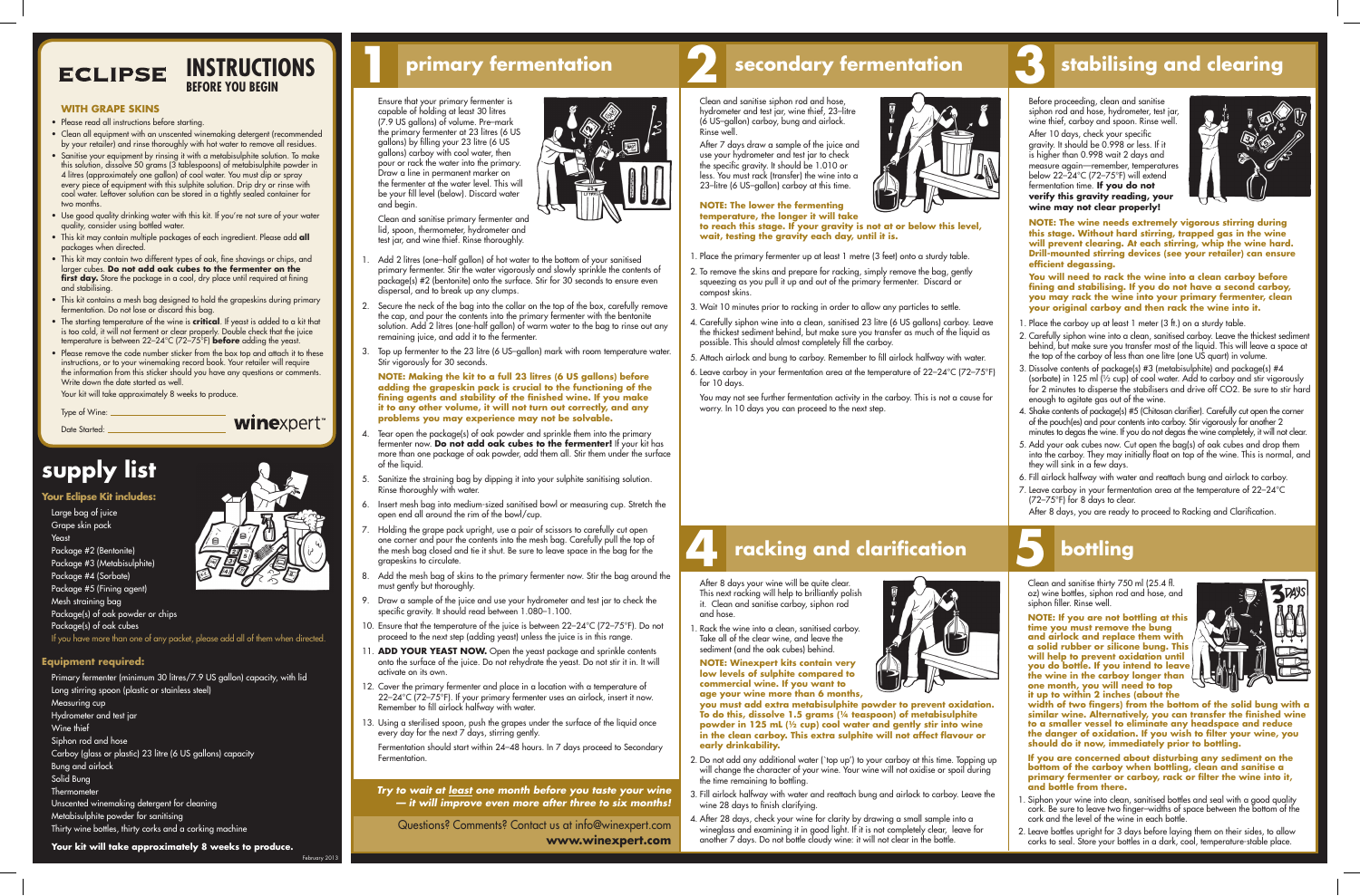## **ECLIPSE**

### **WITH GRAPE SKINS**

- Please read all instructions before starting.
- Clean all equipment with an unscented winemaking detergent (recommended by your retailer) and rinse thoroughly with hot water to remove all residues.

- Sanitise your equipment by rinsing it with a metabisulphite solution. To make this solution, dissolve 50 grams (3 tablespoons) of metabisulphite powder in 4 litres (approximately one gallon) of cool water. You must dip or spray every piece of equipment with this sulphite solution. Drip dry or rinse with cool water. Leftover solution can be stored in a tightly sealed container for two months.
- • Use good quality drinking water with this kit. If you're not sure of your water quality, consider using bottled water.
- • This kit may contain multiple packages of each ingredient. Please add **all** packages when directed.
- • This kit may contain two different types of oak, fine shavings or chips, and larger cubes. **Do not add oak cubes to the fermenter on the**  first day. Store the package in a cool, dry place until required at fining and stabilising.
- • This kit contains a mesh bag designed to hold the grapeskins during primary fermentation. Do not lose or discard this bag.
- The starting temperature of the wine is **critical**. If yeast is added to a kit that is too cold, it will not ferment or clear properly. Double check that the juice temperature is between 22–24°C (72–75°F) **before** adding the yeast.
- $\cdot$  Please remove the code number sticker from the box top and attach it to these instructions, or to your winemaking record book. Your retailer will require the information from this sticker should you have any questions or comments. Write down the date started as well.

Primary fermenter (minimum 30 litres/7.9 US gallon) capacity, with lid Long stirring spoon (plastic or stainless steel) Measuring cup Hydrometer and test jar Wine thief Siphon rod and hose Carboy (glass or plastic) 23 litre (6 US gallons) capacity Bung and airlock Solid Bung **Thermometer** Unscented winemaking detergent for cleaning Metabisulphite powder for sanitising Thirty wine bottles, thirty corks and a corking machine

 Your kit will take approximately 8 weeks to produce.

- **Your Eclipse Kit includes:**
- Large bag of juice Grape skin pack Yeast Package #2 (Bentonite) Package #3 (Metabisulphite) Package #4 (Sorbate) Package #5 (Fining agent) Mesh straining bag
- Add 2 litres (one-half gallon) of hot water to the bottom of your sanitised primary fermenter. Stir the water vigorously and slowly sprinkle the contents of package(s) #2 (bentonite) onto the surface. Stir for 30 seconds to ensure even dispersal, and to break up any clumps.
- 2. Secure the neck of the bag into the collar on the top of the box, carefully remove the cap, and pour the contents into the primary fermenter with the bentonite solution. Add 2 litres (one-half gallon) of warm water to the bag to rinse out any remaining juice, and add it to the fermenter.
- 3. Top up fermenter to the 23 litre (6 US-gallon) mark with room temperature water. Stir vigorously for 30 seconds.

Package(s) of oak powder or chips Package(s) of oak cubes If you have more than one of any packet, please add all of them when directed.

### **Equipment required:**



**winexpert** 



## **4 racking and clarification bottling**

 Ensure that your primary fermenter is capable of holding at least 30 litres (7.9 US gallons) of volume. Pre–mark the primary fermenter at 23 litres (6 US gallons) by filling your 23 litre (6 US gallons) carboy with cool water, then pour or rack the water into the primary. .<br>Draw a line in permanent marker on the fermenter at the water level. This will be your fill level (below). Discard water and begin.



- Tear open the package(s) of oak powder and sprinkle them into the primary fermenter now. **Do not add oak cubes to the fermenter!** If your kit has more than one package of oak powder, add them all. Stir them under the surface of the liquid.
- 5. Sanitize the straining bag by dipping it into your sulphite sanitising solution. Rinse thoroughly with water.
- 6. Insert mesh bag into medium-sized sanitised bowl or measuring cup. Stretch the open end all around the rim of the bowl/cup.
- 7. Holding the grape pack upright, use a pair of scissors to carefully cut open one corner and pour the contents into the mesh bag. Carefully pull the top of the mesh bag closed and tie it shut. Be sure to leave space in the bag for the grapeskins to circulate.
- Add the mesh bag of skins to the primary fermenter now. Stir the bag around the must gently but thoroughly.
- Draw a sample of the juice and use your hydrometer and test jar to check the specific gravity. It should read between 1.080-1.100.
- 10. Ensure that the temperature of the juice is between 22-24°C (72-75°F). Do not proceed to the next step (adding yeast) unless the juice is in this range.
- 11. **ADD YOUR YEAST NOW.** Open the yeast package and sprinkle contents onto the surface of the juice. Do not rehydrate the yeast. Do not stir it in. It will activate on its own.
- 12. Cover the primary fermenter and place in a location with a temperature of 22–24°C (72–75°F). If your primary fermenter uses an airlock, insert it now. Remember to fill airlock halfway with water.
- 13. Using a sterilised spoon, push the grapes under the surface of the liquid once every day for the next 7 days, stirring gently.

 Clean and sanitise primary fermenter and lid, spoon, thermometer, hydrometer and test jar, and wine thief. Rinse thoroughly.

- 1. Place the primary fermenter up at least 1 metre (3 feet) onto a sturdy table.
- 2. To remove the skins and prepare for racking, simply remove the bag, gently squeezing as you pull it up and out of the primary fermenter. Discard or compost skins.
- 3. Wait 10 minutes prior to racking in order to allow any particles to settle.
- 4. Carefully siphon wine into a clean, sanitised 23 litre (6 US gallons) carboy. Leave the thickest sediment behind, but make sure you transfer as much of the liquid as possible. This should almost completely fill the carboy.
- 5. Attach airlock and bung to carboy. Remember to fill airlock halfway with water.
- 6. Leave carboy in your fermentation area at the temperature of 22–24°C (72–75°F) for 10 days.

1. Rack the wine into a clean, sanitised carboy. Take all of the clear wine, and leave the sediment (and the oak cubes) behind.

**NOTE: Making the kit to a full 23 litres (6 US gallons) before adding the grapeskin pack is crucial to the functioning of the fining agents and stability of the finished wine. If you make it to any other volume, it will not turn out correctly, and any problems you may experience may not be solvable.** 

- 2. Do not add any additional water (`top up') to your carboy at this time. Topping up will change the character of your wine. Your wine will not oxidise or spoil during the time remaining to bottling.
- 3. Fill airlock halfway with water and reattach bung and airlock to carboy. Leave the wine 28 days to finish clarifying.
- 4. After 28 days, check your wine for clarity by drawing a small sample into a wineglass and examining it in good light. If it is not completely clear, leave for another 7 days. Do not bottle cloudy wine: it will not clear in the bottle.



- 1. Place the carboy up at least 1 meter (3 ft.) on a sturdy table.
- 2. Carefully siphon wine into a clean, sanitised carboy. Leave the thickest sediment behind, but make sure you transfer most of the liquid. This will leave a space at the top of the carboy of less than one litre (one US quart) in volume.
- 3. Dissolve contents of package(s) #3 (metabisulphite) and package(s) #4 (sorbate) in 125 ml (½ cup) of cool water. Add to carboy and stir vigorously for 2 minutes to disperse the stabilisers and drive off CO2. Be sure to stir hard enough to agitate gas out of the wine.
- 4. Shake contents of package(s) #5 (Chitosan clarifier). Carefully cut open the corner of the pouch(es) and pour contents into carboy. Stir vigorously for another 2 minutes to degas the wine. If you do not degas the wine completely, it will not clear.
- 5. Add your oak cubes now. Cut open the bag(s) of oak cubes and drop them into the carboy. They may initially float on top of the wine. This is normal, and they will sink in a few days.
- 6. Fill airlock halfway with water and reattach bung and airlock to carboy.
- 7. Leave carboy in your fermentation area at the temperature of 22-24°C (72–75°F) for 8 days to clear.

 Fermentation should start within 24–48 hours. In 7 days proceed to Secondary Fermentation.

Clean and sanitise siphon rod and hose, hydrometer and test jar, wine thief, 23-litre (6 US–gallon) carboy, bung and airlock. Rinse well.

After 7 days draw a sample of the juice and use your hydrometer and test jar to check the specific gravity. It should be 1.010 or less. You must rack (transfer) the wine into a 23–litre (6 US–gallon) carboy at this time.

- . Siphon your wine into clean, sanitised bottles and seal with a good quality cork. Be sure to leave two finger–widths of space between the bottom of the cork and the level of the wine in each bottle.
- 2. Leave bottles upright for 3 days before laying them on their sides, to allow corks to seal. Store your bottles in a dark, cool, temperature-stable place.

### **NOTE: The lower the fermenting**  temperature, the longer it will take **to reach this stage. If your gravity is not at or below this level, wait, testing the gravity each day, until it is.**

 You may not see further fermentation activity in the carboy. This is not a cause for worry. In 10 days you can proceed to the next step.

After 8 days your wine will be quite clear. This next racking will help to brilliantly polish it. Clean and sanitise carboy, siphon rod and hose.

**NOTE: Winexpert kits contain very low levels of sulphite compared to commercial wine. If you want to age your wine more than 6 months,** 

**you must add extra metabisulphite powder to prevent oxidation. To do this, dissolve 1.5 grams (¼ teaspoon) of metabisulphite powder in 125 mL (½ cup) cool water and gently stir into wine in the clean carboy. This extra sulphite will not affect flavour or early drinkability.** 

Before proceeding, clean and sanitise siphon rod and hose, hydrometer, test jar, wine thief, carboy and spoon. Rinse well. After 10 days, check your specific gravity. It should be 0.998 or less. If it is higher than 0.998 wait 2 days and measure again—remember, temperatures below 22–24°C (72–75°F) will extend fermentation time. **If you do not verify this gravity reading, your wine may not clear properly!** 



**NOTE: The wine needs extremely vigorous stirring during this stage. Without hard stirring, trapped gas in the wine will prevent clearing. At each stirring, whip the wine hard. Drill-mounted stirring devices (see your retailer) can ensure efficient degassing.** 

**You will need to rack the wine into a clean carboy before fining and stabilising. If you do not have a second carboy, you may rack the wine into your primary fermenter, clean your original carboy and then rack the wine into it.** 

 After 8 days, you are ready to proceed to Racking and Clarification. 

### **supply list**

**INSTRUCTIONS**

**BEFORE YOU BEGIN**

Type of Wine:

Date Started:

February 2013

## **primary fermentation secondary fermentation stabilising and clearing**

*Try to wait at least one month before you taste your wine — it will improve even more after three to six months!*

Questions? Comments? Contact us at info@winexpert.com **www.winexpert.com** Clean and sanitise thirty 750 ml (25.4 fl. oz) wine bottles, siphon rod and hose, and siphon filler. Rinse well.

**NOTE: If you are not bottling at this time you must remove the bung and airlock and replace them with a solid rubber or silicone bung. This will help to prevent oxidation until you do bottle. If you intend to leave the wine in the carboy longer than one month, you will need to top it up to within 2 inches (about the** 



**width of two fingers) from the bottom of the solid bung with a similar wine. Alternatively, you can transfer the finished wine to a smaller vessel to eliminate any headspace and reduce the danger of oxidation. If you wish to filter your wine, you should do it now, immediately prior to bottling.**

**If you are concerned about disturbing any sediment on the bottom of the carboy when bottling, clean and sanitise a primary fermenter or carboy, rack or filter the wine into it, and bottle from there.** 

### **1 2 3**

# **5**